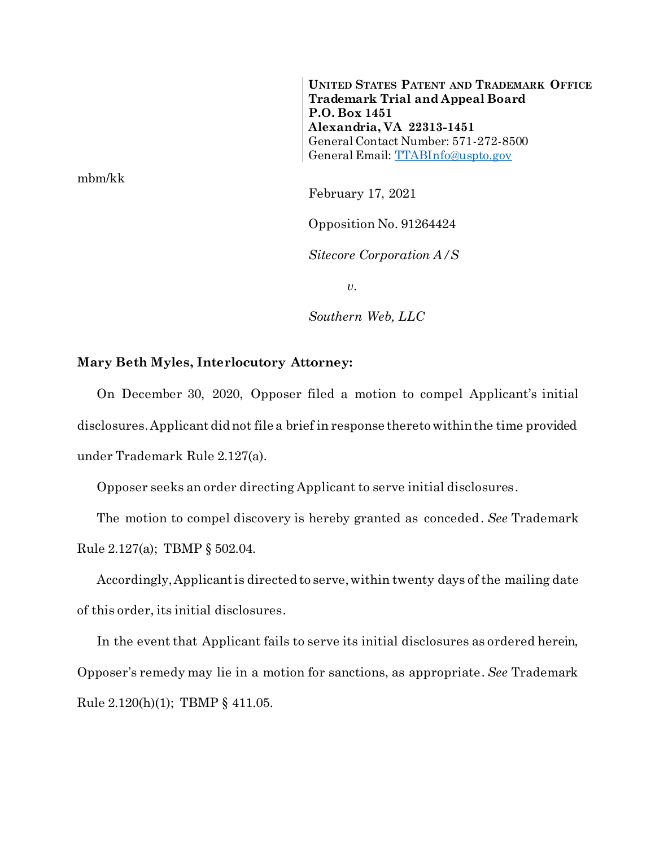**UNITED STATES PATENT AND TRADEMARK OFFICE Trademark Trial and Appeal Board P.O. Box 1451 Alexandria, VA 22313-1451** General Contact Number: 571-272-8500 General Email: [TTABInfo@uspto.gov](mailto:TTABInfo@uspto.gov)

mbm/kk

February 17, 2021

Opposition No. 91264424

*Sitecore Corporation A/S*

*v.*

*Southern Web, LLC*

## **Mary Beth Myles, Interlocutory Attorney:**

On December 30, 2020, Opposer filed a motion to compel Applicant's initial disclosures. Applicant did not file a brief in response thereto within the time provided under Trademark Rule 2.127(a).

Opposer seeks an order directing Applicant to serve initial disclosures.

The motion to compel discovery is hereby granted as conceded. *See* Trademark Rule 2.127(a); TBMP § 502.04.

Accordingly, Applicant is directed to serve, within twenty days of the mailing date of this order, its initial disclosures.

In the event that Applicant fails to serve its initial disclosures as ordered herein, Opposer's remedy may lie in a motion for sanctions, as appropriate. *See* Trademark Rule 2.120(h)(1); TBMP § 411.05.